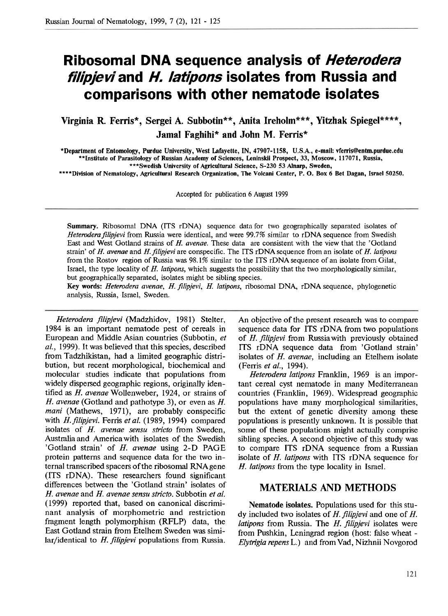# **Ribosomal DNA sequence analysis of Heterodera filipjeviand H. latipons isolates from Russia and comparisons with other nematode isolates**

**Virginia R. Ferris\*, Sergei A. Subbotin\*\*, Anita Ireholm\*\*\*, Yitzhak Spiegel\*\*\*\*, Jamal Faghihi\* and John M. Ferris\*** 

**\*Department of Entomology, Purdue University, West Lafayette, IN, 47907-1158, U.S.A., e-mail: vferris@entm.purdue.edu \*\*Institute of Parasitology of Russian Academy of Sciences, Leninskii Prospect, 33, Moscow, 117071, Russia, \*\*\*Swedish University of Agricultural Science, S-230 53 Alnarp, Sweden,** 

**\*\*\*\*Division of Nematology, Agricultural Research Organization, The Volcani Center, P. 0. Box 6 Bet Dagan, Israel 50250.** 

**Accepted for publication 6 August 1999** 

**Summary.** Ribosomal DNA (ITS rDNA) sequence data for two geographically separated isolates of Heterodera filipjevi from Russia were identical, and were 99.7% similar to rDNA sequence from Swedish East and West Gotland strains of H. avenae. These data are consistent with the view that the 'Gotland strain' of H. avenae and H. filipjevi are conspecific. The ITS rDNA sequence from an isolate of H. latipons from the Rostov region of Russia was 98.1% similar to the ITS rDNA sequence of an isolate from Gilat, Israel, the type locality of H. latipons, which suggests the possibility that the two morphologically similar, but geographically separated, isolates might be sibling species.

**Key words:** Heterodera avenae, H. filipjevi, H. latipons, ribosomal DNA, rDNA sequence, phylogenetic analysis, Russia, Israel, Sweden.

Heterodera filipievi (Madzhidov, 1981) Stelter, 1984 is an important nematode pest of cereals in European and Middle Asian countries (Subbotin, et al., 1999). It was believed that this species, described from Tadzhikistan, had a limited geographic distribution, but recent morphological, biochemical and molecular studies indicate that populations from widely dispersed geographic regions, originally identified as H. avenae Wollenweber, 1924, or strains of H. avenae (Gotland and pathotype **3),** or even as H. mani (Mathews, 1971), are probably conspecific with H. filipjevi. Ferris et al. (1989, 1994) compared isolates of H. avenae sensu stricto from Sweden. Australia and America with isolates of the Swedish 'Gotland strain' of H. avenae using 2-D PAGE protein patterns and sequence data for the two internal transcribed spacers of the ribosomal RNAgene (ITS rDNA). These researchers found significant differences between the 'Gotland strain' isolates of H. avenae and H. avenae sensu stricto. Subbotin et al. (1999) reported that, based on canonical discriminant analysis of morphometric and restriction fragment length polymorphism (RFLP) data, the East Gotland strain from Etelhem Sweden was similar/identical to H. filipjevi populations from Russia.

**An** objective of the present research was to compare sequence data for ITS rDNA from two populations of H. filipjevi from Russiawith previously obtained ITS rDNA sequence data from 'Gotland strain' isolates of *H.* avenae, including an Etelhem isolate (Ferris et al., 1994).

Heterodera latipons Franklin, 1969 is an important cereal cyst nematode in many Mediterranean countries (Franklin, 1969). Widespread geographic populations have many morphological similarities, but the extent of genetic diversity among these populations is presently unknown. It is possible that some of these populations might actually comprise sibling species. A second objective of this study was to compare ITS rDNA sequence from a Russian isolate of H. latipons with ITS rDNA sequence for H. latipons from the type locality in Israel.

#### **MATERIALS AND METHODS**

**Nematode isolates.** Populations used for this study included two isolates of  $H$ . filipjevi and one of  $H$ . *latipons* from Russia. The  $H$ . *filipievi* isolates were from Pushkin, Leningrad region (host: false wheat - Elytrigia repens L.) and from Vad, Nizhnii Novgorod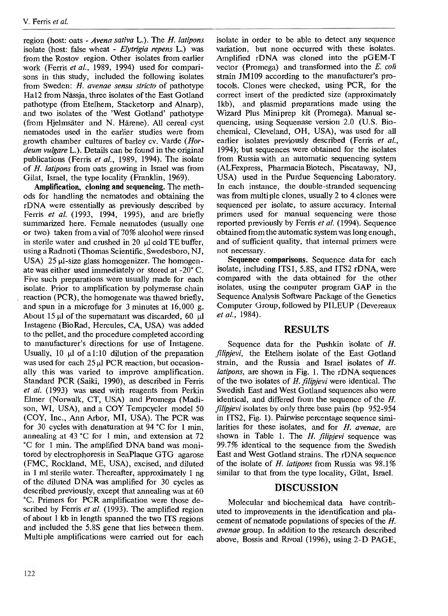region (host: oats - Avena sativa L.). The H. latipons isolate (host: false wheat - Elytrigia repens L.) was from the Rostov region. Other isolates from earlier work (Ferris et al., 1989, 1994) used for comparisons in this study, included the following isolates from Sweden:  $H$ . avenae sensu stricto of pathotype Ha12 from Nässia, three isolates of the East Gotland pathotype (from Etelhem, Stacketorp and Alnarp), and two isolates of the 'West Gotland' pathotype (from Hjelmsater and N. Harene). All cereal cyst nematodes used in the earlier studies were from growth chamber cultures of barley cv. Varde (Hordeum vulgare L.). Details can be found in the original publications (Ferris et al., 1989, 1994). The isolate of H. latipons from oats growing in Israel was from Gilat, Israel, the type locality (Franklin, 1969).

**Amplification, cloning and sequencing.** The methods for handling the nematodes and obtaining the rDNA were essentially as previously described by Ferris et al. (1993, 1994, 1995), and are briefly summarized here. Female nematodes (usually one or two) taken from a vial of 70% alcohol were rinsed in sterile water and crushed in  $20 \mu$  cold TE buffer. using a Radnoti (Thomas Scientific, Swedesboro, NJ, USA)  $25 \mu l$ -size glass homogenizer. The homogenate was either used immediately or stored at -20" C. Five such preparations were usually made for each isolate. Prior to amplification by polymerase chain reaction (PCR), the homogenate was thawed briefly, and spun in a microfuge for  $3$  minutes at  $16,000$  g. About 15  $\mu$ l of the supernatant was discarded, 60  $\mu$ l Instagene (BioRad, Hercules, CA, USA) was added to the pellet, and the procedure completed according to manufacturer's directions for use of Instagene. Usually, 10  $\mu$ l of a1:10 dilution of the preparation was used for each  $25 \mu$  PCR reaction, but occasionally this was varied to improve amplification. Standard PCR (Saiki, 1990), as described in Ferris et al. (1993) was used with reagents from Perkin Elmer (Norwalk, CT, USA) and Promega (Madison, WI, USA), and a COY Tempcycler model 50 (COY, Inc., Ann Arbor, MI, USA). The PCR was for 30 cycles with denaturation at 94 "C for 1 min, annealing at 43 °C for 1 min, and extension at  $72$ "C for 1 min. The amplified DNA band was monitored by electrophoresis in SeaPlaque GTG agarose (FMC, Rockland, ME, USA), excised, and diluted in 1 ml sterile water. Thereafter, approximately 1 ng of the diluted DNA was amplified for 30 cycles as described previously, except that annealing was at 60 "C. Primers for PCR amplification were those described by Ferris et al. (1993). The amplified region of about 1 kb in length spanned the two ITS regions and included the 5.8s gene that lies between them. Multiple amplifications were carried out for each

isolate in order to be able to detect any sequence variation, but none occurred with these isolates. Amplified rDNA was cloned into the pGEM-T vector (Promega) and transformed into the E. coli strain JM109 according to the manufacturer's protocols. Clones were checked, using PCR, for the correct insert of the predicted size (approximately lkb), and plasmid preparations made using the Wizard Plus Miniprep kit (Promega). Manual sequencing, using Sequenase version 2.0 (U.S. Biochemical, Cleveland, OH, USA), was used for all earlier isolates previously described (Ferris et al., 1994); but sequences were obtained for the isolates from Russia with an automatic sequencing system (ALFexpress, PharmaciaBiotech, Piscataway, NJ, USA) used in the Purdue Sequencing Laboratory. In each instance, the double-stranded sequencing was from multiple clones, usually 2 to 4 clones were sequenced per isolate, to assure accuracy. Internal primers used for manual sequencing were those reported previously by Ferris et al. (1994). Sequence obtained from the automatic system was long enough, and of suficient quality, that internal primers were not necessary.

**Sequence comparisons.** Sequence data for each isolate, including ITS I, 5.8S, and ITS2 rDNA, were compared with the data obtained for the other isolates, using the computer program GAP in the Sequence Analysis Software Package of the Genetics Computer Group, followed by PILEUP (Devereaux et al., 1984).

## **RESULTS**

Sequence data for the Pushkin isolate of H. filipjevi, the Etelhem isolate of the East Gotland strain, and the Russia and Israel isolates of H. latipons, are shown in Fig. 1. The rDNA sequences of the two isolates of  $H$ . filipjevi were identical. The Swedish East and West Gotland sequences also were identical, and differed from the sequence of the H. filipjevi isolates by only three base pairs (bp 952-954) in ITS2, Fig. 1). Pairwise percentage sequence similarities for these isolates, and for  $H$ . avenae, are shown in Table 1. The  $H$ . filipjevi sequence was  $99.7%$  identical to the sequence from the Swedish East and West Gotland strains. The rDNA sequence of the isolate of H. latipons from Russia was 98.1% similar to that from the type locality, Gilat, Israel.

## **DISCUSSION**

Molecular and biochemical data have contributed to improvements in the identification and placement of nematode populations of species of the H. avenae group. In addition to the research described above, Bossis and Rivoal (1996), using 2-D PAGE,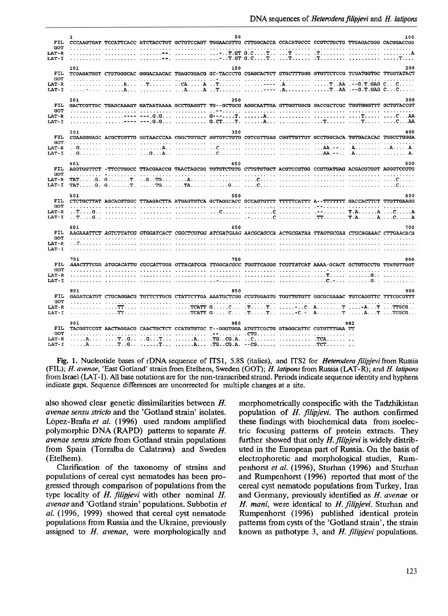|                            | $\mathbf{r}$ |                                                                                                                                                                                                                                                                                                                                                                                                                                                                   | 50                                                                                                                                                                                                                            |  |     | 100 |
|----------------------------|--------------|-------------------------------------------------------------------------------------------------------------------------------------------------------------------------------------------------------------------------------------------------------------------------------------------------------------------------------------------------------------------------------------------------------------------------------------------------------------------|-------------------------------------------------------------------------------------------------------------------------------------------------------------------------------------------------------------------------------|--|-----|-----|
| FIL                        |              | CCCAAGTGAT TCCATTCACC ATCTACCTGT GCTGTCCAGT TGGAACGTTG CTTGGCACCA CCACATGCCC CCGTCTGCTG TTGAGACGGG CACGGACCGG                                                                                                                                                                                                                                                                                                                                                     |                                                                                                                                                                                                                               |  |     |     |
| <b>GOT</b><br><b>LAT-R</b> |              |                                                                                                                                                                                                                                                                                                                                                                                                                                                                   |                                                                                                                                                                                                                               |  |     |     |
| LAT-I                      |              |                                                                                                                                                                                                                                                                                                                                                                                                                                                                   |                                                                                                                                                                                                                               |  |     |     |
|                            |              |                                                                                                                                                                                                                                                                                                                                                                                                                                                                   |                                                                                                                                                                                                                               |  |     |     |
| FIL                        | 101          | TCGAGATGGT CTGTGGGCAC GGGACAACAC TGAGCGGACG GC-TACCCTG CGAGCACTCT GTGCTTTGGG GTGTTCTCCG TCGATGGTGC TTGGTATACT                                                                                                                                                                                                                                                                                                                                                     | 150                                                                                                                                                                                                                           |  |     | 200 |
| GOT                        |              |                                                                                                                                                                                                                                                                                                                                                                                                                                                                   |                                                                                                                                                                                                                               |  |     |     |
| LAT R                      |              |                                                                                                                                                                                                                                                                                                                                                                                                                                                                   |                                                                                                                                                                                                                               |  |     |     |
| LAT-I                      |              |                                                                                                                                                                                                                                                                                                                                                                                                                                                                   |                                                                                                                                                                                                                               |  |     |     |
|                            |              |                                                                                                                                                                                                                                                                                                                                                                                                                                                                   |                                                                                                                                                                                                                               |  |     | 300 |
| <b>FIL</b>                 | 201          | GACTCGTTGC TGAGCAAAGT GATAATAAAA GCCTGAGGTT TG--GCTGCG AGGCAATTGA GTTGGTGGCG GACCGCTCGC TGGTGGGTTT GCTGTACCGT                                                                                                                                                                                                                                                                                                                                                     | 250                                                                                                                                                                                                                           |  |     |     |
| <b>GOT</b>                 |              |                                                                                                                                                                                                                                                                                                                                                                                                                                                                   |                                                                                                                                                                                                                               |  |     |     |
| LAT-R                      |              |                                                                                                                                                                                                                                                                                                                                                                                                                                                                   |                                                                                                                                                                                                                               |  |     |     |
| LAT-I                      |              |                                                                                                                                                                                                                                                                                                                                                                                                                                                                   |                                                                                                                                                                                                                               |  |     |     |
|                            | 301          |                                                                                                                                                                                                                                                                                                                                                                                                                                                                   | 350                                                                                                                                                                                                                           |  |     | 400 |
| FIL                        |              | CGAAGGGAGC ACGCTCGTTG GGTAACCCAA CGGCTGTGCT GGTGTCTGTG CGTCGTTGAG CGGTTGTTGT GCCTGGCACA TGTGACACAC TGGCCTGGGA                                                                                                                                                                                                                                                                                                                                                     |                                                                                                                                                                                                                               |  |     |     |
| <b>GOT</b>                 |              |                                                                                                                                                                                                                                                                                                                                                                                                                                                                   |                                                                                                                                                                                                                               |  |     |     |
| LAT-R                      |              |                                                                                                                                                                                                                                                                                                                                                                                                                                                                   |                                                                                                                                                                                                                               |  |     |     |
| LAT-I                      |              |                                                                                                                                                                                                                                                                                                                                                                                                                                                                   |                                                                                                                                                                                                                               |  |     |     |
|                            | 401          |                                                                                                                                                                                                                                                                                                                                                                                                                                                                   | 450                                                                                                                                                                                                                           |  |     | 500 |
| FIL                        |              | AGGTGGTTCT -TTCCTGGCC TTACGAACCG TAACTAGCGG TGTGTCTGTG CTTGTGTGCT ACGTCCGTGG CCGTGATGAG ACGACGTGGT AGGGTCCGTG                                                                                                                                                                                                                                                                                                                                                     |                                                                                                                                                                                                                               |  |     |     |
| GOT                        |              |                                                                                                                                                                                                                                                                                                                                                                                                                                                                   |                                                                                                                                                                                                                               |  |     |     |
| LAT-R<br>LAT I             |              |                                                                                                                                                                                                                                                                                                                                                                                                                                                                   |                                                                                                                                                                                                                               |  |     |     |
|                            |              |                                                                                                                                                                                                                                                                                                                                                                                                                                                                   |                                                                                                                                                                                                                               |  |     |     |
|                            |              |                                                                                                                                                                                                                                                                                                                                                                                                                                                                   |                                                                                                                                                                                                                               |  |     |     |
|                            | 501          |                                                                                                                                                                                                                                                                                                                                                                                                                                                                   | 550                                                                                                                                                                                                                           |  |     | 600 |
| FIL                        |              | CTCTGCTTAT AGCACGTGGC TTAAGACTTA ATGAGTGTCA GCTAGGCACC GCCAGTGTTT TTTTTCATTT A--TTTTTTT GACCACTTCT TTGTTGAAGG                                                                                                                                                                                                                                                                                                                                                     |                                                                                                                                                                                                                               |  |     |     |
| <b>GOT</b>                 |              |                                                                                                                                                                                                                                                                                                                                                                                                                                                                   |                                                                                                                                                                                                                               |  |     |     |
| LAT-R                      |              |                                                                                                                                                                                                                                                                                                                                                                                                                                                                   |                                                                                                                                                                                                                               |  |     |     |
| LAT-I                      |              |                                                                                                                                                                                                                                                                                                                                                                                                                                                                   |                                                                                                                                                                                                                               |  |     |     |
|                            | 601          |                                                                                                                                                                                                                                                                                                                                                                                                                                                                   | 650                                                                                                                                                                                                                           |  |     | 700 |
| FIL                        |              | AAGAAATTCT AGTCTTATCG GTGGATCACT CGGCTCGTGG ATCGATGAAG AACGCAGCCA ACTGCGATAA TTAGTGCGAA CTGCAGAAAC CTTGAACACA                                                                                                                                                                                                                                                                                                                                                     |                                                                                                                                                                                                                               |  |     |     |
| GOT<br>LAT-R               |              |                                                                                                                                                                                                                                                                                                                                                                                                                                                                   |                                                                                                                                                                                                                               |  |     |     |
| LAT-I                      |              |                                                                                                                                                                                                                                                                                                                                                                                                                                                                   | a construction of the construction of the construction of the construction of the construction of the construction of the construction of the construction of the construction of the construction of the construction of the |  |     |     |
|                            |              |                                                                                                                                                                                                                                                                                                                                                                                                                                                                   |                                                                                                                                                                                                                               |  |     |     |
|                            | 701          |                                                                                                                                                                                                                                                                                                                                                                                                                                                                   | 750                                                                                                                                                                                                                           |  |     | 800 |
| FIL<br>COT                 |              | AAACTTTCGA ATGCACATTG CGCCATTGGA GTTACATCCA TTGGCACGCC TGGTTCAGGG TCGTTATCAT AAAA-GCACT GCTGTGCCTG TTATGTTGGT                                                                                                                                                                                                                                                                                                                                                     |                                                                                                                                                                                                                               |  |     |     |
| LAT-R                      |              |                                                                                                                                                                                                                                                                                                                                                                                                                                                                   |                                                                                                                                                                                                                               |  |     |     |
| LAT-I                      |              |                                                                                                                                                                                                                                                                                                                                                                                                                                                                   |                                                                                                                                                                                                                               |  |     |     |
|                            |              |                                                                                                                                                                                                                                                                                                                                                                                                                                                                   |                                                                                                                                                                                                                               |  |     |     |
| FIL.                       | 801          |                                                                                                                                                                                                                                                                                                                                                                                                                                                                   | 850                                                                                                                                                                                                                           |  |     | 900 |
| <b>GOT</b>                 |              | GAGATCATGT CTGCAGGACG TGTTCTTGCG CTATTCTTGA AAATGCTCGG CCGTGGAGTG TGGTTGTGTT GGCGCGAAAC TGTCAGGTTC TTTCGCGTTT                                                                                                                                                                                                                                                                                                                                                     |                                                                                                                                                                                                                               |  |     |     |
| LAT-R                      |              | TT  TCATT GC TT C. AT -AT TTGCG                                                                                                                                                                                                                                                                                                                                                                                                                                   |                                                                                                                                                                                                                               |  |     |     |
| LAT-I                      |              | $\ldots \ldots \ldots \ldots \text{TT} \ldots \ldots \ldots \ldots \ldots \text{TCATT}$ $\texttt{G} \ldots \texttt{C} \ldots \texttt{TC} \ldots \texttt{TC} \ldots \texttt{TC} \ldots \texttt{C} \ldots \texttt{C} \ldots \texttt{C} \ldots \texttt{C} \ldots \texttt{C} \ldots \texttt{C} \ldots \texttt{C} \ldots \texttt{C} \ldots \texttt{C} \ldots \texttt{C} \ldots \texttt{C} \ldots \texttt{C} \ldots \texttt{C} \ldots \texttt{C} \ldots \texttt{C} \ld$ |                                                                                                                                                                                                                               |  |     |     |
|                            | 901          |                                                                                                                                                                                                                                                                                                                                                                                                                                                                   | 950                                                                                                                                                                                                                           |  | 982 |     |
| FIL                        |              | TACGGTCCGT AACTAGGACG CAACTGCTCT CCATGTGTGC T--GGGTGGA ATGTTCGCTG GTAGGCATTC CGTGTTTGAA TT                                                                                                                                                                                                                                                                                                                                                                        |                                                                                                                                                                                                                               |  |     |     |
| <b>GOT</b>                 |              |                                                                                                                                                                                                                                                                                                                                                                                                                                                                   |                                                                                                                                                                                                                               |  |     |     |
| LAT-R<br>LAT-I             |              |                                                                                                                                                                                                                                                                                                                                                                                                                                                                   |                                                                                                                                                                                                                               |  |     |     |

**Fig. 1.** Nucleotide bases of rDNA sequence of ITSI, **5.8s** (italics), and ITS2 for *Heterodera jilipjevi* from Russia *(FIL);* H. *avenae,* 'East Gotland' strain from Etelhem, Sweden (GOT); *H. latipons* from Russia (LAT-R); and *H. latipons*  from Israel *(LAT-I).* **AU** base notations are for the non-transcribed strand. Periods indicate sequence identity and hyphens indicate gaps. Sequence differences are uncorrected for multiple changes at a site.

also showed clear genetic dissimilarities between H. avenae sensu stricto and the 'Gotland strain' isolates. López-Braña et al. (1996) used random amplified polymorphic DNA (RAPD) patterns to separate H. avenae sensu stricto from Gotland strain populations from Spain (Torralba de Calatrava) and Sweden (Etelhem).

Clarification of the taxonomy of strains and populations of cereal cyst nematodes has been progressed through comparison of populations from the type locality of H. filipjevi with other nominal H. avenae and 'Gotland strain' populations. Subbotin et al. (1996, 1999) showed that cereal cyst nematode populations from Russia and the Ukraine, previously assigned to  $H$ . avenae, were morphologically and

morphometrically conspecific with the Tadzhikistan population of H. filipjevi. The authors confirmed these findings with biochemical data from isoelectric focusing patterns of protein extracts. They further showed that only  $H$ . filipjevi is widely distributed in the European part of Russia. On the basis of electrophoretic and morphological studies, Rumpenhorst et al. (1996), Sturhan (1996) and Sturhan and Rumpenhorst (1996) reported that most of the cereal cyst nematode populations from Turkey, Iran and Germany, previously identified as H. avenae or H. mani, were identical to  $H$ . filipjevi. Sturhan and Rumpenhorst (1996) published identical protein patterns from cysts of the 'Gotland strain', the strain known as pathotype **3,** and H. filipjevi populations.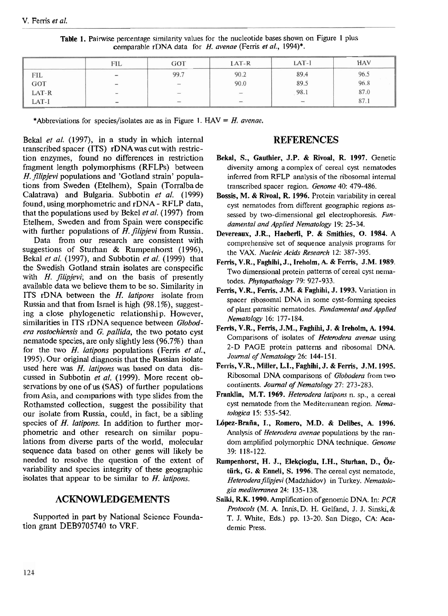|            | FIL                          | <b>GOT</b>               | $LAT-R$         | $LAT-I$                         | <b>HAV</b>   |
|------------|------------------------------|--------------------------|-----------------|---------------------------------|--------------|
|            | $\overline{\phantom{0}}$     | 99.7                     | 90.2            | 89.4                            |              |
| FIL<br>GOT | $\qquad \qquad \blacksquare$ | $\hspace{0.5cm}$         | 90.0            | 89.5                            | 96.5<br>96.8 |
| LAT-R      | $\hspace{0.5cm}$             | $\overline{\phantom{a}}$ |                 | 98.1                            | 87.0         |
| LAT-I      | $\overline{\phantom{a}}$     |                          | $\qquad \qquad$ | $\hspace{0.1mm}-\hspace{0.1mm}$ | 87.1         |

Table **1.** Painvise percentage similarity values for the nucleotide bases shown on Figure 1 plus comparable rDNA data for H. avenae (Ferris et al., 1994)\*.

\*Abbreviations for species/isolates are as in Figure 1.  $HAV = H$ . avenae.

Bekal *et al.* (1997), in a study in which internal transcribed spacer (ITS) rDNA was cut with restriction enzymes, found no differences in restriction fragment length polymorphisms (RFLPs) between H. *filipjevi* populations and 'Gotland strain' populations from Sweden (Etelhem), Spain (Torralba de Calatrava) and Bulgaria. Subbotin *et al.* (1999) found, using, morphometric and rDNA - RFLP data, that the populations used by Bekel *et al.* (1997) from Etelhem, Sweden and from Spain were conspecific with further populations of H. *filipjevi* from Russia.

Data from our research are consistent with suggestions of Sturhan & Rumpenhorst (1996), Bekal *et al.* (1997), and Subbotin *et al.* (1999) that the Swedish Gotland strain isolates are conspecific with *H. filipievi*; and on the basis of presently available data we believe them to be so. Similarity in ITS rDNA between the H. *latipons* isolate from Russia and that from Israel is high (98.1%), suggesting a close phylogenetic relationship. However, similarities in ITS rDNA sequence between *Globodera rostochiensis* and *G. pallida,* the two potato cyst nematode species, are only slightly less (96.7%) than for the two H. *latipons* populations (Ferris *et al.,*  1995). Our original diagnosis that the Russian isolate used here was H. *latipons* was based on data discussed in Subbotin *et al.* (1999). More recent observations by one of us (SAS) of further populations from Asia, and cornparions with type slides from the Rothamsted collection, suggest the possibility that our isolate from Russia, could, in fact, be a sibling species of H. *latipons.* In addition to further morphometric and other research on similar populations from diverse parts of the world, molecular sequence data based on other genes will likely be needed to resolve the question of the extent of variability and species integrity of these geographic isolates that appear to be similar to *H, latipons.* 

## **ACKNOWLEDGEMENTS**

Supported in part by National Science Foundation grant DEB9705740 to VRF.

## **REFERENCES**

- Bekal, S., Gauthier, J.P. & Rivoal, R. **1997.** Genetic diversity among a complex of cereal cyst nematodes inferred from RFLP analysis of the ribosomal internal transcribed spacer region. Genome 40: 479-486.
- Bossis, M. & Rivoal, R. **1996.** Protein variability in cereal cyst nematodes from different geographic regions assessed by two-dimensional gel electrophoresis. Fundamental and Applied Nematology 19: 25-34.
- Devereaux, J.R., Haeberli, P. & Smithies, 0. **1984.** <sup>A</sup> comprehensive set of sequence analysis programs for the VAX. Nucleic Acids Research 12: 387-395.
- Ferris, V.R., Faghihi, J., Ireholm, **A.** & Ferris, J.M. **1989.**  Two dimensional protein patterns of cereal cyst nematodes. Phytopathology 79: 927-933.
- Ferris, V.R., Ferris, J.M. & Faghil~i, J. **1993.** Variation in spacer ribosomal DNA in some cyst-forming species of plant parasitic nematodes. Fundamental and Applied Nematology 16: 177- 184.
- Ferris, V.R., Ferris, J.M., Faghihi, J. & Ireholm, **A. 1994.**  Comparisons of isolates of Heterodera avenae using 2-D PAGE protein patterns and ribosomal DNA. Journal of Nematology 26: 144-151.
- Fems, V.R., Miller, L.I., Faghihi, J. & Ferris, J.M. **1995.**  Ribosomal DNA comparisons of Globodera from two continents. Journal of Nematology 27: 273-283.
- Franklin, M.T. 1969. *Heterodera latipons n. sp.*, a cereal cyst nematode from the Mediterranean region. Nematologica 15: 535-542.
- López-Braña, I., Romero, M.D. & Delibes, A. 1996. Analysis of *Heterodera avenae* populations by the random amplified polymorphic DNA technique. Genome 39: 118-122.
- Rumpenhorst, H. J., Elekcioglu, I.H., Sturhan, D., Öz**tiirk,** *G.* & Enneli, S. **1996.** The cereal cyst nematode, Heterodera filipjevi (Madzhidov) in Turkey. Nematologia mediterranea 24: 135-138.
- Saiki, RK. **1990.** Amplification of genomic DNA. In: PCR Protocols (M. A. Innis,D. H. Gelfand, J. J. Sinski,& T. J. White, Eds.) pp. 13-20. San Diego, CA: Academic Press.